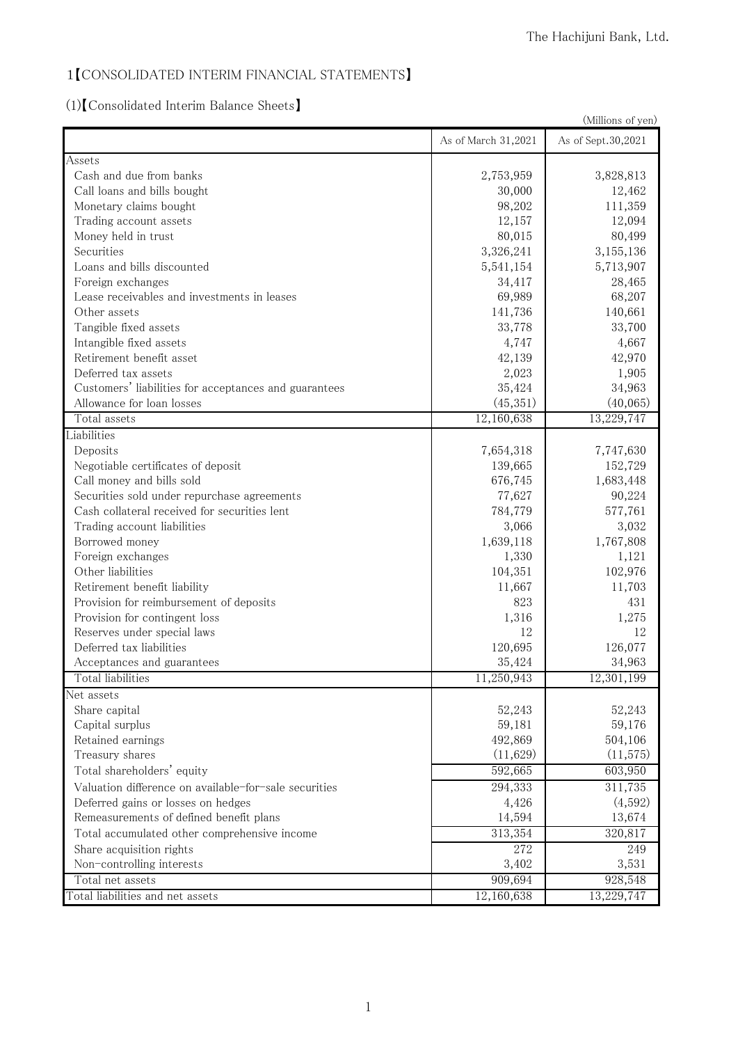# 1【CONSOLIDATED INTERIM FINANCIAL STATEMENTS】

(1)【Consolidated Interim Balance Sheets】

| (Millions of yen)                                     |                     |                    |
|-------------------------------------------------------|---------------------|--------------------|
|                                                       | As of March 31,2021 | As of Sept.30,2021 |
| Assets                                                |                     |                    |
| Cash and due from banks                               | 2,753,959           | 3,828,813          |
| Call loans and bills bought                           | 30,000              | 12,462             |
| Monetary claims bought                                | 98,202              | 111,359            |
| Trading account assets                                | 12,157              | 12,094             |
| Money held in trust                                   | 80,015              | 80,499             |
| Securities                                            | 3,326,241           | 3,155,136          |
| Loans and bills discounted                            | 5,541,154           | 5,713,907          |
| Foreign exchanges                                     | 34,417              | 28,465             |
| Lease receivables and investments in leases           | 69,989              | 68,207             |
| Other assets                                          | 141,736             | 140,661            |
| Tangible fixed assets                                 | 33,778              | 33,700             |
| Intangible fixed assets                               | 4,747               | 4,667              |
| Retirement benefit asset                              | 42,139              | 42,970             |
| Deferred tax assets                                   | 2,023               | 1,905              |
| Customers' liabilities for acceptances and guarantees | 35,424              | 34,963             |
| Allowance for loan losses                             | (45,351)            | (40,065)           |
| Total assets                                          | 12,160,638          | 13,229,747         |
| Liabilities                                           |                     |                    |
| Deposits                                              | 7,654,318           | 7,747,630          |
| Negotiable certificates of deposit                    | 139,665             | 152,729            |
| Call money and bills sold                             | 676,745             | 1,683,448          |
| Securities sold under repurchase agreements           | 77,627              | 90,224             |
| Cash collateral received for securities lent          | 784,779             | 577,761            |
| Trading account liabilities                           | 3,066               | 3,032              |
| Borrowed money                                        | 1,639,118           | 1,767,808          |
| Foreign exchanges                                     | 1,330               | 1,121              |
| Other liabilities                                     | 104,351             | 102,976            |
| Retirement benefit liability                          | 11,667              | 11,703             |
| Provision for reimbursement of deposits               | 823                 | 431                |
| Provision for contingent loss                         | 1,316               | 1,275              |
| Reserves under special laws                           | 12                  | 12                 |
| Deferred tax liabilities                              | 120,695             | 126,077            |
| Acceptances and guarantees                            | 35,424              | 34,963             |
| Total liabilities                                     | 11,250,943          | 12,301,199         |
| Net assets                                            |                     |                    |
| Share capital                                         | 52,243              | 52,243             |
| Capital surplus                                       | 59,181              | 59,176             |
| Retained earnings                                     | 492,869             | 504,106            |
| Treasury shares                                       | (11,629)            | (11, 575)          |
| Total shareholders' equity                            | 592,665             | 603,950            |
| Valuation difference on available-for-sale securities | 294,333             | 311,735            |
| Deferred gains or losses on hedges                    | 4,426               | (4,592)            |
| Remeasurements of defined benefit plans               | 14,594              | 13,674             |
| Total accumulated other comprehensive income          | 313,354             | 320,817            |
| Share acquisition rights                              | 272                 | 249                |
| Non-controlling interests                             | 3,402               | 3,531              |
| Total net assets                                      | 909,694             | 928,548            |
| Total liabilities and net assets                      | 12,160,638          | 13,229,747         |
|                                                       |                     |                    |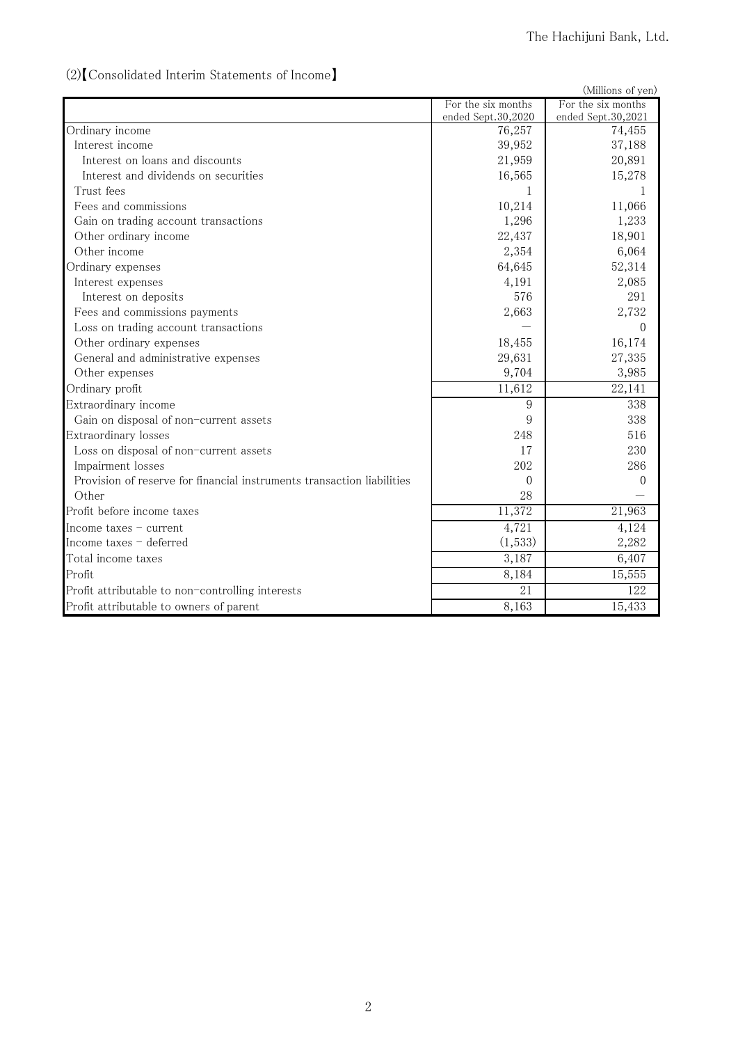# (2)【Consolidated Interim Statements of Income】

|                                                                        |                    | (Millions of yen)   |
|------------------------------------------------------------------------|--------------------|---------------------|
|                                                                        | For the six months | For the six months  |
|                                                                        | ended Sept.30,2020 | ended Sept.30,2021  |
| Ordinary income                                                        | 76,257             | 74,455              |
| Interest income                                                        | 39,952             | 37,188              |
| Interest on loans and discounts                                        | 21,959             | 20,891              |
| Interest and dividends on securities                                   | 16,565             | 15,278              |
| Trust fees                                                             | 1                  |                     |
| Fees and commissions                                                   | 10,214             | 11,066              |
| Gain on trading account transactions                                   | 1,296              | 1,233               |
| Other ordinary income                                                  | 22,437             | 18,901              |
| Other income                                                           | 2,354              | 6,064               |
| Ordinary expenses                                                      | 64,645             | 52,314              |
| Interest expenses                                                      | 4,191              | 2,085               |
| Interest on deposits                                                   | 576                | 291                 |
| Fees and commissions payments                                          | 2,663              | 2,732               |
| Loss on trading account transactions                                   |                    | $\Omega$            |
| Other ordinary expenses                                                | 18,455             | 16,174              |
| General and administrative expenses                                    | 29,631             | 27,335              |
| Other expenses                                                         | 9,704              | 3,985               |
| Ordinary profit                                                        | 11,612             | $\overline{22,}141$ |
| Extraordinary income                                                   | 9                  | 338                 |
| Gain on disposal of non-current assets                                 | 9                  | 338                 |
| Extraordinary losses                                                   | 248                | 516                 |
| Loss on disposal of non-current assets                                 | 17                 | 230                 |
| Impairment losses                                                      | 202                | 286                 |
| Provision of reserve for financial instruments transaction liabilities | $\theta$           | $\theta$            |
| Other                                                                  | 28                 |                     |
| Profit before income taxes                                             | 11,372             | 21,963              |
| Income taxes $-$ current                                               | 4,721              | 4,124               |
| Income taxes - deferred                                                | (1,533)            | 2,282               |
| Total income taxes                                                     | 3,187              | 6,407               |
| Profit                                                                 | 8,184              | 15,555              |
| Profit attributable to non-controlling interests                       | 21                 | 122                 |
| Profit attributable to owners of parent                                | 8,163              | 15,433              |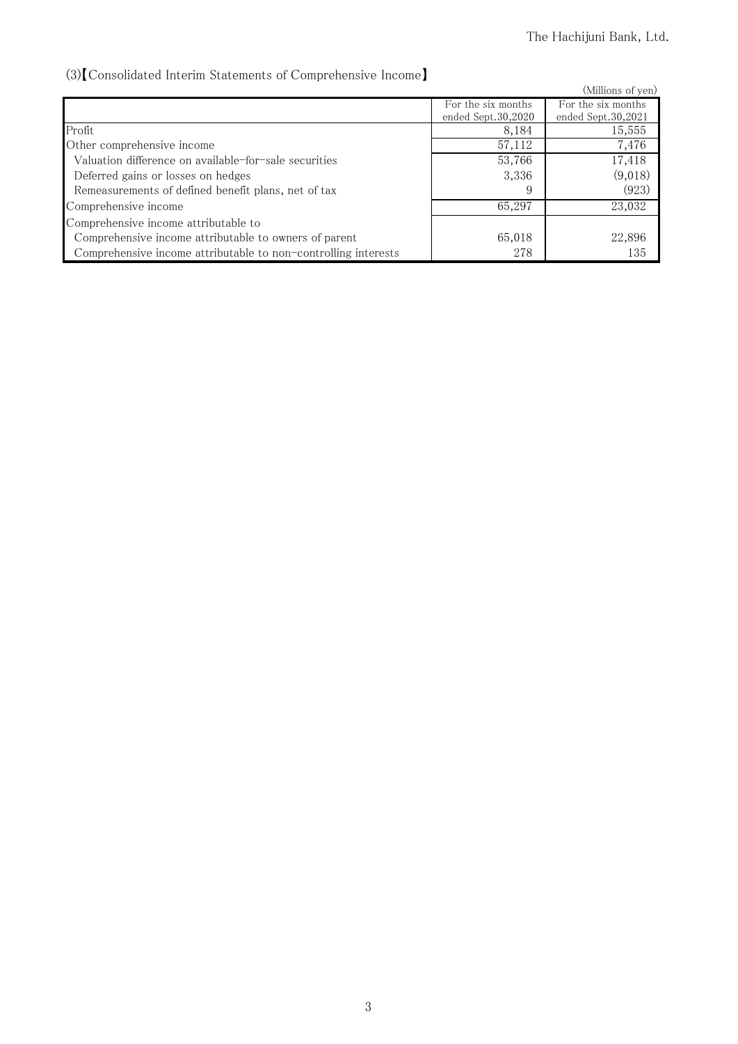# (3)【Consolidated Interim Statements of Comprehensive Income】

| von Consonaated meerini biatements or Comprendisive meome      |                    |                    |
|----------------------------------------------------------------|--------------------|--------------------|
|                                                                |                    | (Millions of yen)  |
|                                                                | For the six months | For the six months |
|                                                                | ended Sept.30,2020 | ended Sept.30,2021 |
| Profit                                                         | 8,184              | 15,555             |
| Other comprehensive income                                     | 57,112             | 7,476              |
| Valuation difference on available-for-sale securities          | 53,766             | 17,418             |
| Deferred gains or losses on hedges                             | 3,336              | (9,018)            |
| Remeasurements of defined benefit plans, net of tax            | 9                  | (923)              |
| Comprehensive income                                           | 65,297             | 23,032             |
| Comprehensive income attributable to                           |                    |                    |
| Comprehensive income attributable to owners of parent          | 65,018             | 22,896             |
| Comprehensive income attributable to non-controlling interests | 278                | 135                |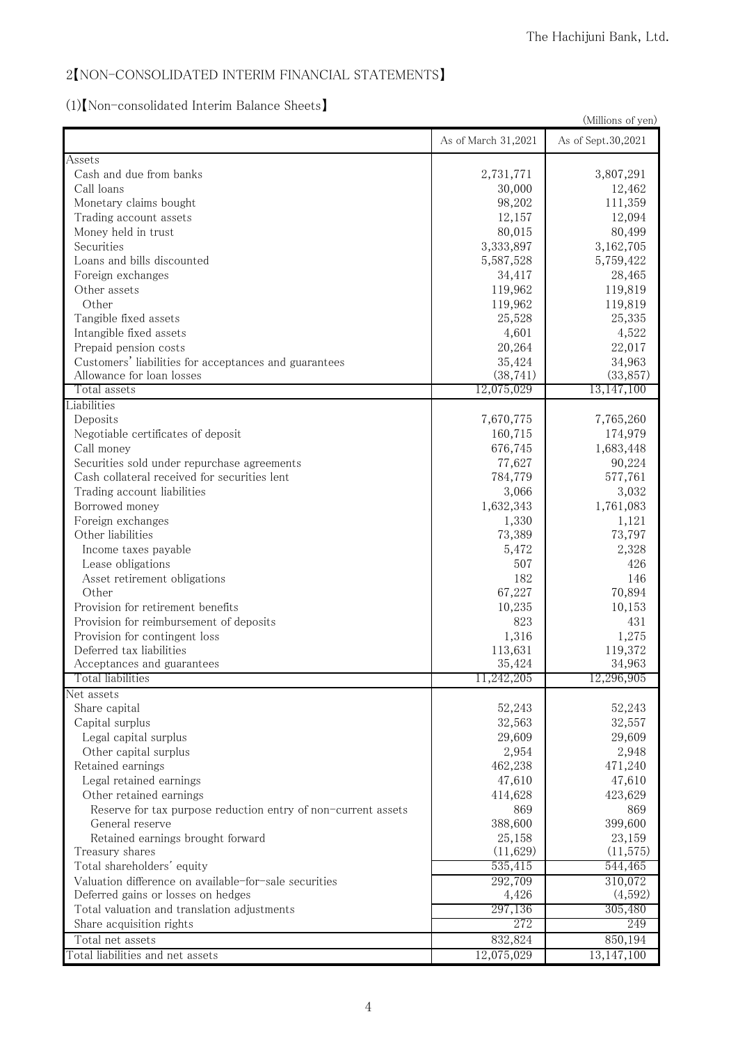# 2【NON-CONSOLIDATED INTERIM FINANCIAL STATEMENTS】

(1)【Non-consolidated Interim Balance Sheets】

| (Millions of yen)                                             |                     |                    |
|---------------------------------------------------------------|---------------------|--------------------|
|                                                               | As of March 31,2021 | As of Sept.30,2021 |
| Assets                                                        |                     |                    |
| Cash and due from banks                                       | 2,731,771           | 3,807,291          |
| Call loans                                                    | 30,000              | 12,462             |
| Monetary claims bought                                        | 98,202              | 111,359            |
| Trading account assets                                        | 12,157              | 12,094             |
| Money held in trust                                           | 80,015              | 80,499             |
| Securities                                                    | 3,333,897           | 3,162,705          |
| Loans and bills discounted                                    | 5,587,528           | 5,759,422          |
| Foreign exchanges                                             | 34,417              | 28,465             |
| Other assets                                                  | 119,962             | 119,819            |
| Other                                                         | 119,962             | 119,819            |
| Tangible fixed assets                                         | 25,528              | 25,335             |
| Intangible fixed assets                                       | 4,601               | 4,522              |
| Prepaid pension costs                                         | 20,264              | 22,017             |
| Customers' liabilities for acceptances and guarantees         | 35,424              | 34,963             |
| Allowance for loan losses                                     | (38, 741)           | (33, 857)          |
| Total assets                                                  | 12,075,029          | 13,147,100         |
| Liabilities                                                   |                     |                    |
| Deposits                                                      | 7,670,775           | 7,765,260          |
| Negotiable certificates of deposit                            | 160,715             | 174,979            |
| Call money                                                    | 676,745             | 1,683,448          |
| Securities sold under repurchase agreements                   | 77,627              | 90,224             |
| Cash collateral received for securities lent                  | 784,779             | 577,761            |
| Trading account liabilities                                   | 3,066               | 3,032              |
| Borrowed money                                                | 1,632,343           | 1,761,083          |
| Foreign exchanges                                             | 1,330               | 1,121              |
| Other liabilities                                             | 73,389              | 73,797             |
| Income taxes payable                                          | 5,472               | 2,328              |
| Lease obligations                                             | 507                 | 426                |
| Asset retirement obligations                                  | 182                 | 146                |
| Other                                                         | 67,227              | 70,894             |
| Provision for retirement benefits                             | 10,235              |                    |
| Provision for reimbursement of deposits                       | 823                 | 10,153<br>431      |
|                                                               |                     |                    |
| Provision for contingent loss                                 | 1,316               | 1,275              |
| Deferred tax liabilities                                      | 113,631<br>35,424   | 119,372<br>34,963  |
| Acceptances and guarantees<br>Total liabilities               | 11,242,205          | 12,296,905         |
|                                                               |                     |                    |
| Net assets                                                    |                     | 52,243             |
| Share capital<br>Capital surplus                              | 52,243<br>32,563    |                    |
|                                                               |                     | 32,557             |
| Legal capital surplus                                         | 29,609              | 29,609             |
| Other capital surplus                                         | 2,954               | 2,948              |
| Retained earnings                                             | 462,238             | 471,240            |
| Legal retained earnings                                       | 47,610              | 47,610             |
| Other retained earnings                                       | 414,628             | 423,629            |
| Reserve for tax purpose reduction entry of non-current assets | 869                 | 869                |
| General reserve                                               | 388,600             | 399,600            |
| Retained earnings brought forward                             | 25,158              | 23,159             |
| Treasury shares                                               | (11,629)            | (11, 575)          |
| Total shareholders' equity                                    | 535,415             | 544,465            |
| Valuation difference on available-for-sale securities         | 292,709             | 310,072            |
| Deferred gains or losses on hedges                            | 4,426               | (4,592)            |
| Total valuation and translation adjustments                   | 297,136             | 305,480            |
| Share acquisition rights                                      | 272                 | 249                |
| Total net assets                                              | 832,824             | 850,194            |
| Total liabilities and net assets                              | 12,075,029          | 13,147,100         |